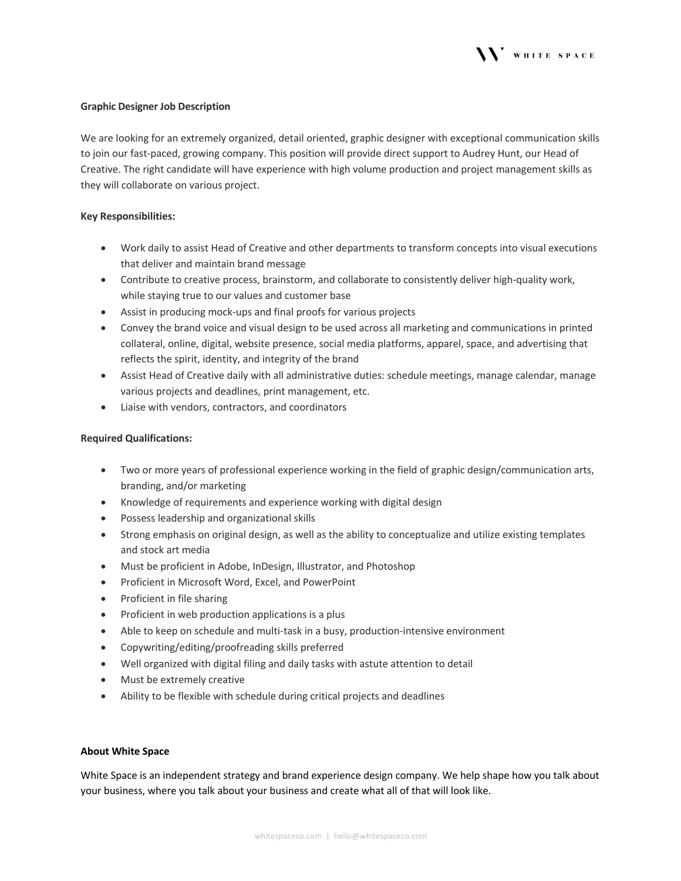

## **Graphic Designer Job Description**

We are looking for an extremely organized, detail oriented, graphic designer with exceptional communication skills to join our fast-paced, growing company. This position will provide direct support to Audrey Hunt, our Head of Creative. The right candidate will have experience with high volume production and project management skills as they will collaborate on various project.

### **Key Responsibilities:**

- Work daily to assist Head of Creative and other departments to transform concepts into visual executions that deliver and maintain brand message
- Contribute to creative process, brainstorm, and collaborate to consistently deliver high-quality work, while staying true to our values and customer base
- Assist in producing mock-ups and final proofs for various projects
- Convey the brand voice and visual design to be used across all marketing and communications in printed collateral, online, digital, website presence, social media platforms, apparel, space, and advertising that reflects the spirit, identity, and integrity of the brand
- Assist Head of Creative daily with all administrative duties: schedule meetings, manage calendar, manage various projects and deadlines, print management, etc.
- Liaise with vendors, contractors, and coordinators

### **Required Qualifications:**

- Two or more years of professional experience working in the field of graphic design/communication arts, branding, and/or marketing
- Knowledge of requirements and experience working with digital design
- Possess leadership and organizational skills
- Strong emphasis on original design, as well as the ability to conceptualize and utilize existing templates and stock art media
- Must be proficient in Adobe, InDesign, Illustrator, and Photoshop
- Proficient in Microsoft Word, Excel, and PowerPoint
- Proficient in file sharing
- Proficient in web production applications is a plus
- Able to keep on schedule and multi-task in a busy, production-intensive environment
- Copywriting/editing/proofreading skills preferred
- Well organized with digital filing and daily tasks with astute attention to detail
- Must be extremely creative
- Ability to be flexible with schedule during critical projects and deadlines

#### **About White Space**

White Space is an independent strategy and brand experience design company. We help shape how you talk about your business, where you talk about your business and create what all of that will look like.